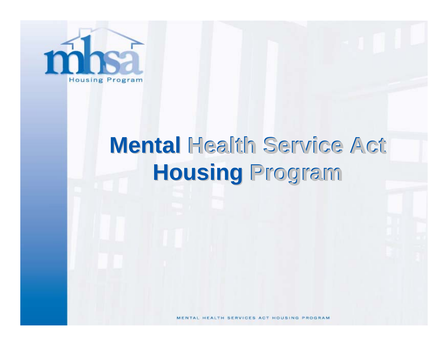

# **Mental Health Service Act Housing Housing Program Program**

MENTAL HEALTH SERVICES ACT HOUSING PROGRAM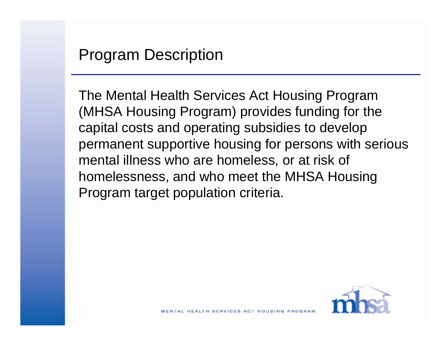The Mental Health Services Act Housing Program (MHSA Housing Program) provides funding for the capital costs and operating subsidies to develop permanent supportive housing for persons with serious mental illness who are homeless, or at risk of homelessness, and who meet the MHSA Housing Program target population criteria.

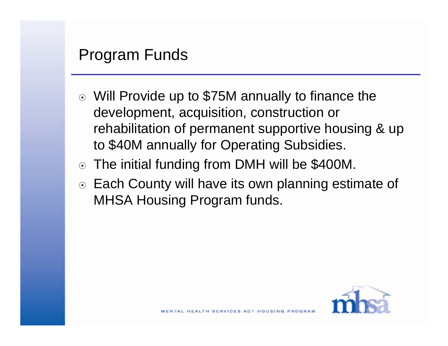#### Program Funds

- Will Provide up to \$75M annually to finance the development, acquisition, construction or rehabilitation of permanent supportive housing & up to \$40M annually for Operating Subsidies.
- The initial funding from DMH will be \$400M.
- Each County will have its own planning estimate of MHSA Housing Program funds.

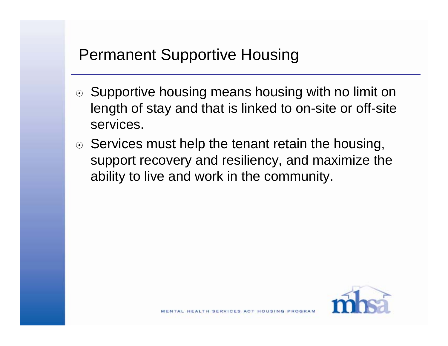### Permanent Supportive Housing

- ⊙ Supportive housing means housing with no limit on length of stay and that is linked to on-site or off-site services.
- $\odot$  Services must help the tenant retain the housing, support recovery and resiliency, and maximize the ability to live and work in the community.

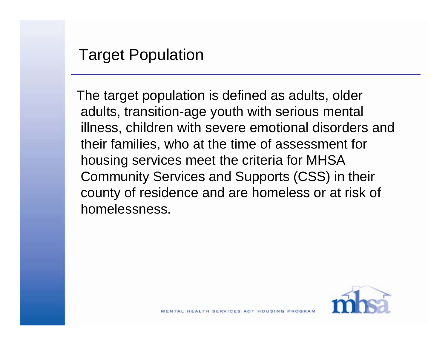The target population is defined as adults, older adults, transition-age youth with serious mental illness, children with severe emotional disorders and their families, who at the time of assessment for housing services meet the criteria for MHSA Community Services and Supports (CSS) in their county of residence and are homeless or at risk of homelessness.

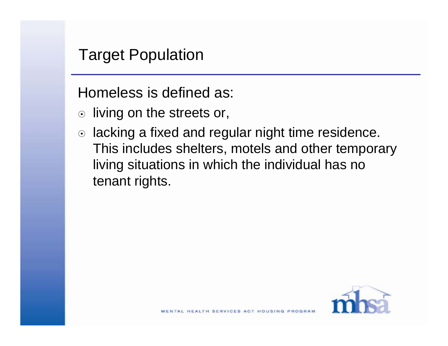#### Target Population

Homeless is defined as:

- $\circ$  living on the streets or,
- $\circ$  lacking a fixed and regular night time residence. This includes shelters, motels and other temporary living situations in which the individual has no tenant rights.

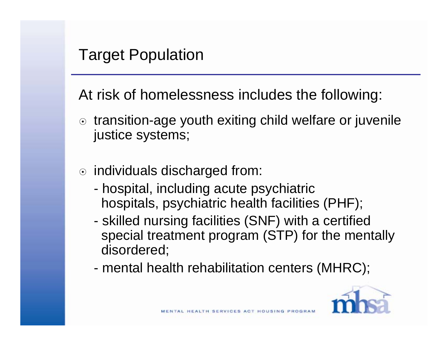At risk of homelessness includes the following:

- ⊙ transition-age youth exiting child welfare or juvenile justice systems;
- $\circ$  individuals discharged from:
	- hospital, including acute psychiatric hospitals, psychiatric health facilities (PHF);
	- skilled nursing facilities (SNF) with a certified special treatment program (STP) for the mentally disordered;
	- mental health rehabilitation centers (MHRC);

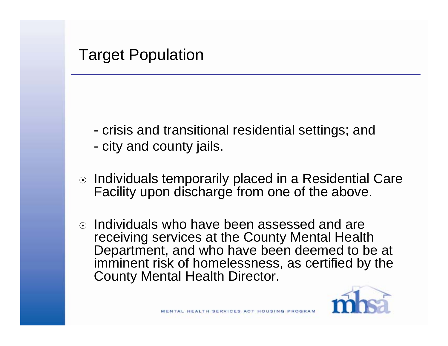- crisis and transitional residential settings; and
- city and county jails.
- $\circ$  Individuals temporarily placed in a Residential Care Facility upon discharge from one of the above.
- $\odot$  Individuals who have been assessed and are receiving services at the County Mental Health Department, and who have been deemed to be at imminent risk of homelessness, as certified by the County Mental Health Director.

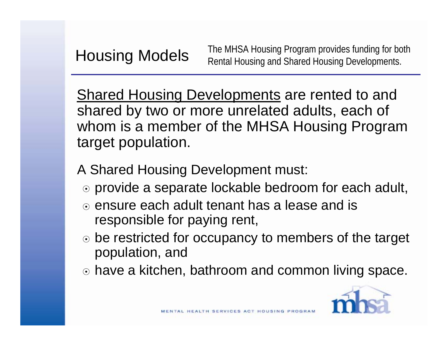Housing Models The MHSA Housing Program provides funding for both Rental Housing and Shared Housing Developments.

Shared Housing Developments are rented to and shared by two or more unrelated adults, each of whom is a member of the MHSA Housing Program target population.

A Shared Housing Development must:

- ⊙ provide a separate lockable bedroom for each adult,
- $\circ$  ensure each adult tenant has a lease and is responsible for paying rent,
- ⊙ be restricted for occupancy to members of the target population, and
- have a kitchen, bathroom and common living space.

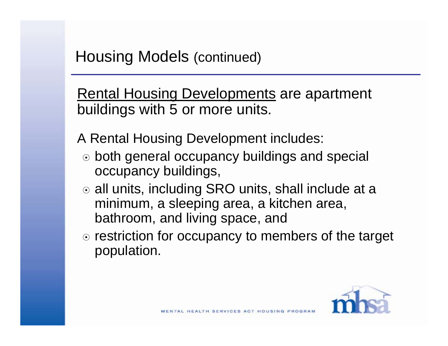Rental Housing Developments are apartment buildings with 5 or more units.

A Rental Housing Development includes:

- ⊙ both general occupancy buildings and special occupancy buildings,
- o all units, including SRO units, shall include at a minimum, a sleeping area, a kitchen area, bathroom, and living space, and
- ⊙ restriction for occupancy to members of the target population.

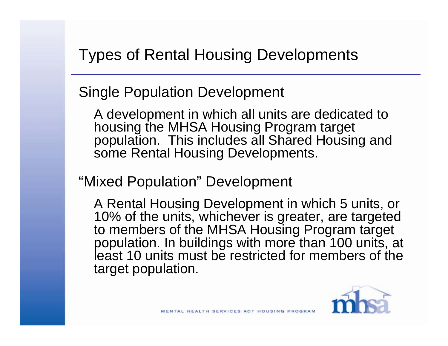Types of Rental Housing Developments

Single Population Development

A development in which all units are dedicated to housing the MHSA Housing Program target population. This includes all Shared Housing and some Rental Housing Developments.

"Mixed Population" Development

A Rental Housing Development in which 5 units, or 10% of the units, whichever is greater, are targeted to members of the MHSA Housing Program target population. In buildings with more than 100 units, at least 10 units must be restricted for members of the target population.

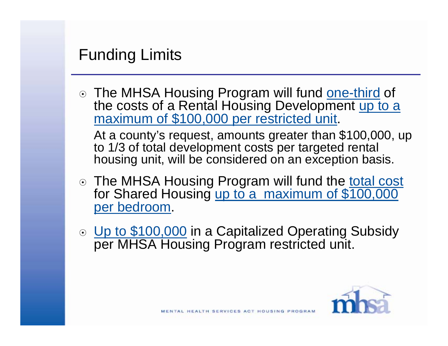#### Funding Limits

⊙ The MHSA Housing Program will fund one-third of the costs of a Rental Housing Development up to a maximum of \$100,000 per restricted unit.

At a county's request, amounts greater than \$100,000, up to 1/3 of total development costs per targeted rental housing unit, will be considered on an exception basis.

- o The MHSA Housing Program will fund the total cost for Shared Housing up to a maximum of \$100,000 per bedroom.
- ⊙ Up to \$100,000 in a Capitalized Operating Subsidy per MHSA Housing Program restricted unit.

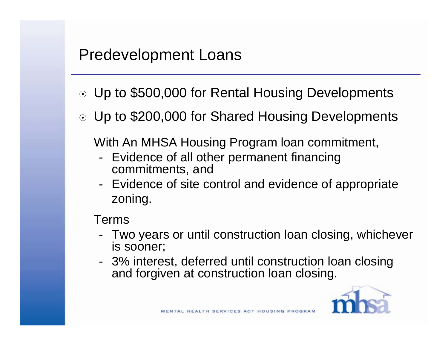#### Predevelopment Loans

- ⊙ Up to \$500,000 for Rental Housing Developments
- Up to \$200,000 for Shared Housing Developments

With An MHSA Housing Program loan commitment,

- Evidence of all other permanent financing commitments, and
- Evidence of site control and evidence of appropriate zoning.

#### Terms

- Two years or until construction loan closing, whichever is sooner;
- 3% interest, deferred until construction loan closing and forgiven at construction loan closing.

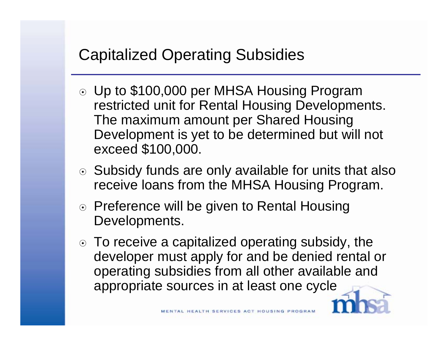# Capitalized Operating Subsidies

- Up to \$100,000 per MHSA Housing Program restricted unit for Rental Housing Developments. The maximum amount per Shared Housing Development is yet to be determined but will not exceed \$100,000.
- ⊙ Subsidy funds are only available for units that also receive loans from the MHSA Housing Program.
- ⊙ Preference will be given to Rental Housing Developments.
- To receive a capitalized operating subsidy, the developer must apply for and be denied rental or operating subsidies from all other available and appropriate sources in at least one cycle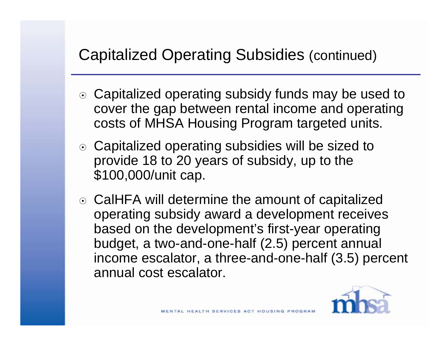# Capitalized Operating Subsidies (continued)

- Capitalized operating subsidy funds may be used to cover the gap between rental income and operating costs of MHSA Housing Program targeted units.
- Capitalized operating subsidies will be sized to provide 18 to 20 years of subsidy, up to the \$100,000/unit cap.
- CalHFA will determine the amount of capitalized operating subsidy award a development receives based on the development's first-year operating budget, a two-and-one-half (2.5) percent annual income escalator, a three-and-one-half (3.5) percent annual cost escalator.

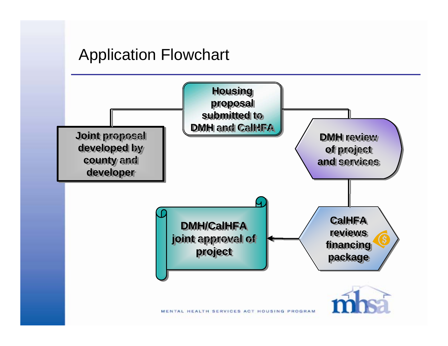#### Application Flowchart

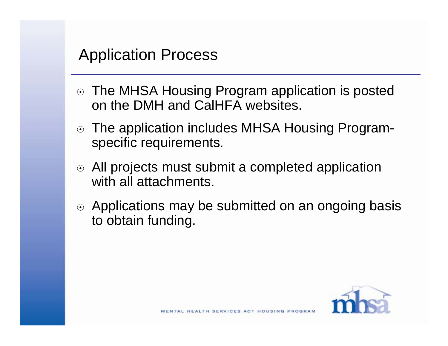#### Application Process

- The MHSA Housing Program application is posted on the DMH and CalHFA websites.
- The application includes MHSA Housing Program specific requirements.
- All projects must submit a completed application with all attachments.
- ⊙ Applications may be submitted on an ongoing basis to obtain funding.

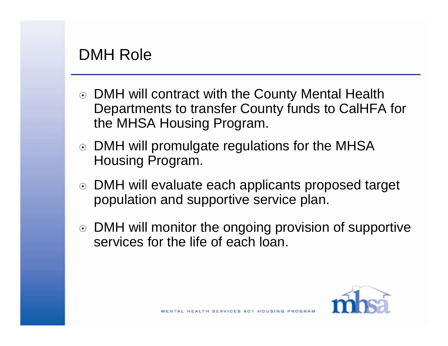### DMH Role

- ⊙ DMH will contract with the County Mental Health Departments to transfer County funds to CalHFA for the MHSA Housing Program.
- ⊙ DMH will promulgate regulations for the MHSA Housing Program.
- DMH will evaluate each applicants proposed target population and supportive service plan.
- DMH will monitor the ongoing provision of supportive services for the life of each loan.

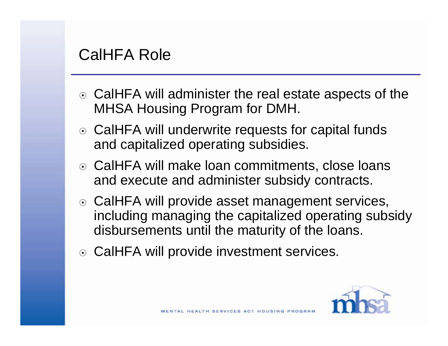#### CalHFA Role

- ⊙ CalHFA will administer the real estate aspects of the MHSA Housing Program for DMH.
- ⊙ CalHFA will underwrite requests for capital funds and capitalized operating subsidies.
- ⊙ CalHFA will make loan commitments, close loans and execute and administer subsidy contracts.
- ⊙ CalHFA will provide asset management services, including managing the capitalized operating subsidy disbursements until the maturity of the loans.
- ⊙ CalHFA will provide investment services.

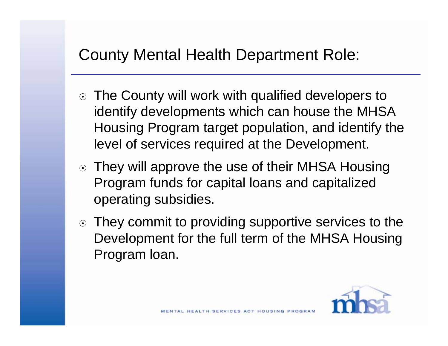### County Mental Health Department Role:

- The County will work with qualified developers to identify developments which can house the MHSA Housing Program target population, and identify the level of services required at the Development.
- ⊙ They will approve the use of their MHSA Housing Program funds for capital loans and capitalized operating subsidies.
- ⊙ They commit to providing supportive services to the Development for the full term of the MHSA Housing Program loan.

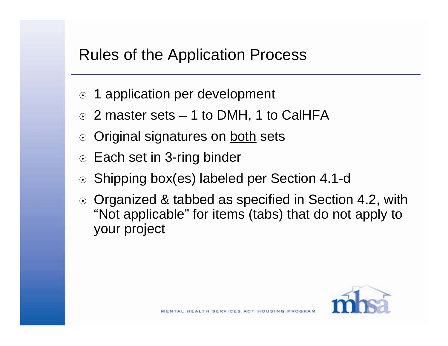### Rules of the Application Process

- ⊙ 1 application per development
- $\odot$  2 master sets  $-$  1 to DMH, 1 to CalHFA
- Original signatures on both sets  $\odot$
- ⊙ Each set in 3-ring binder
- ⊙ Shipping box(es) labeled per Section 4.1-d
- ⊙ Organized & tabbed as specified in Section 4.2, with "Not applicable" for items (tabs) that do not apply to your project

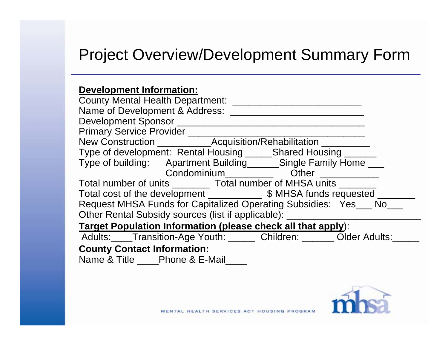#### Project Overview/Development Summary Form

#### **Development Information:**

| Primary Service Provider __________                                        |
|----------------------------------------------------------------------------|
|                                                                            |
| Type of development: Rental Housing _______Shared Housing _______          |
| Type of building: Apartment Building _______ Single Family Home ____       |
| Condominium <b>Condominium</b> Other <b>Condominium</b>                    |
| Total number of units _________ Total number of MHSA units _______         |
| Total cost of the development ______________ \$ MHSA funds requested _____ |
| Request MHSA Funds for Capitalized Operating Subsidies: Yes ___ No         |
| Other Rental Subsidy sources (list if applicable): _________               |
| <b>Target Population Information (please check all that apply):</b>        |
| Adults: Transition-Age Youth: Children: Older Adults:                      |
| <b>County Contact Information:</b>                                         |
| Name & Title ____Phone & E-Mail____                                        |

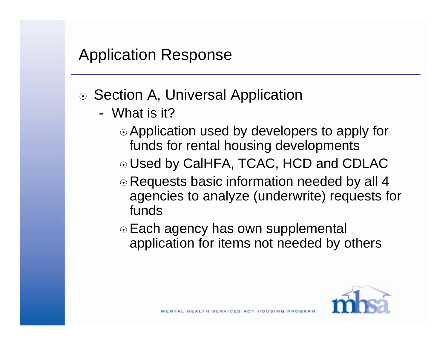#### Application Response

- ⊙ Section A, Universal Application
	- What is it?
		- Application used by developers to apply for funds for rental housing developments
		- Used by CalHFA, TCAC, HCD and CDLAC
		- ⊙ Requests basic information needed by all 4 agencies to analyze (underwrite) requests for funds
		- ⊙ Each agency has own supplemental application for items not needed by others

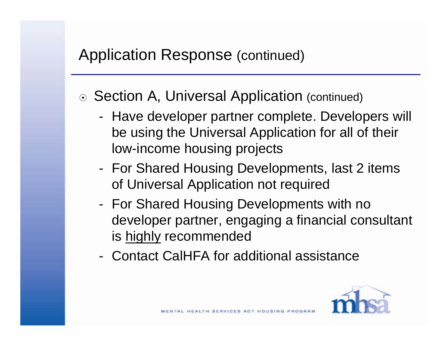- ⊙ Section A, Universal Application (continued)
	- Have developer partner complete. Developers will be using the Universal Application for all of their low-income housing projects
	- For Shared Housing Developments, last 2 items of Universal Application not required
	- For Shared Housing Developments with no developer partner, engaging a financial consultant is highly recommended
	- Contact CalHFA for additional assistance

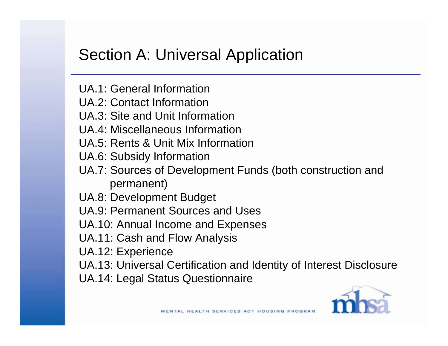### Section A: Universal Application

- UA.1: General Information
- UA.2: Contact Information
- UA.3: Site and Unit Information
- UA.4: Miscellaneous Information
- UA.5: Rents & Unit Mix Information
- UA.6: Subsidy Information
- UA.7: Sources of Development Funds (both construction and permanent)
- UA.8: Development Budget
- UA.9: Permanent Sources and Uses
- UA.10: Annual Income and Expenses
- UA.11: Cash and Flow Analysis
- UA.12: Experience
- UA.13: Universal Certification and Identity of Interest Disclosure
- UA.14: Legal Status Questionnaire

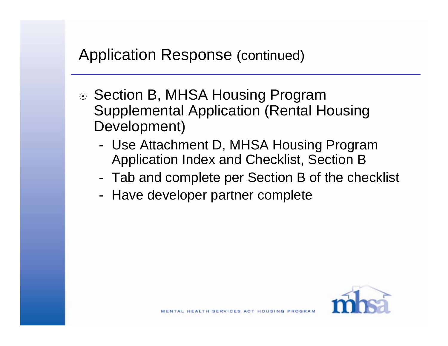- ⊙ Section B, MHSA Housing Program Supplemental Application (Rental Housing Development)
	- Use Attachment D, MHSA Housing Program Application Index and Checklist, Section B
	- Tab and complete per Section B of the checklist
	- Have developer partner complete

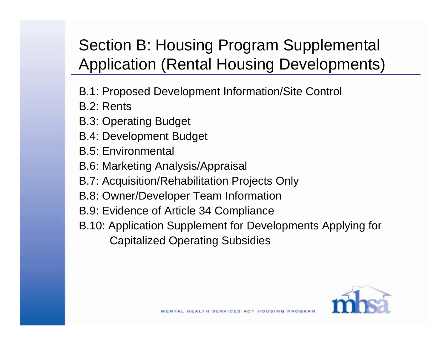# Section B: Housing Program Supplemental Application (Rental Housing Developments)

- B.1: Proposed Development Information/Site Control
- B.2: Rents
- B.3: Operating Budget
- B.4: Development Budget
- B.5: Environmental
- B.6: Marketing Analysis/Appraisal
- B.7: Acquisition/Rehabilitation Projects Only
- B.8: Owner/Developer Team Information
- B.9: Evidence of Article 34 Compliance
- B.10: Application Supplement for Developments Applying for Capitalized Operating Subsidies

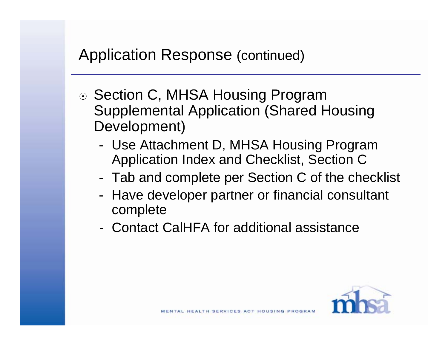- ⊙ Section C, MHSA Housing Program Supplemental Application (Shared Housing Development)
	- Use Attachment D, MHSA Housing Program Application Index and Checklist, Section C
	- Tab and complete per Section C of the checklist
	- Have developer partner or financial consultant complete
	- Contact CalHFA for additional assistance

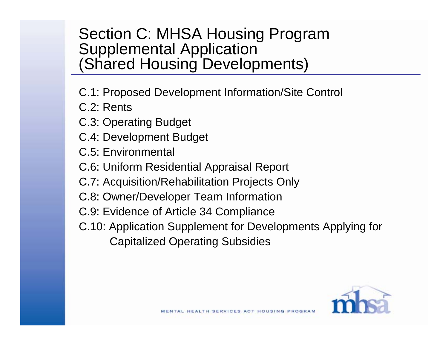#### Section C: MHSA Housing Program Supplemental Application (Shared Housing Developments)

- C.1: Proposed Development Information/Site Control
- C.2: Rents
- C.3: Operating Budget
- C.4: Development Budget
- C.5: Environmental
- C.6: Uniform Residential Appraisal Report
- C.7: Acquisition/Rehabilitation Projects Only
- C.8: Owner/Developer Team Information
- C.9: Evidence of Article 34 Compliance
- C.10: Application Supplement for Developments Applying for Capitalized Operating Subsidies

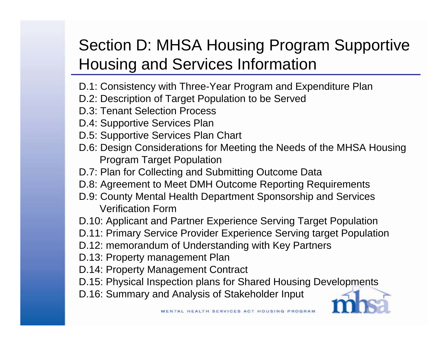# Section D: MHSA Housing Program Supportive Housing and Services Information

- D.1: Consistency with Three-Year Program and Expenditure Plan
- D.2: Description of Target Population to be Served
- D.3: Tenant Selection Process
- D.4: Supportive Services Plan
- D.5: Supportive Services Plan Chart
- D.6: Design Considerations for Meeting the Needs of the MHSA Housing Program Target Population
- D.7: Plan for Collecting and Submitting Outcome Data
- D.8: Agreement to Meet DMH Outcome Reporting Requirements
- D.9: County Mental Health Department Sponsorship and Services Verification Form
- D.10: Applicant and Partner Experience Serving Target Population
- D.11: Primary Service Provider Experience Serving target Population
- D.12: memorandum of Understanding with Key Partners
- D.13: Property management Plan
- D.14: Property Management Contract
- D.15: Physical Inspection plans for Shared Housing Developments
- D.16: Summary and Analysis of Stakeholder Input

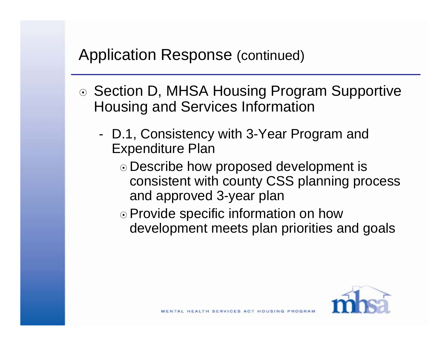- ⊙ Section D, MHSA Housing Program Supportive Housing and Services Information
	- D.1, Consistency with 3-Year Program and Expenditure Plan
		- Describe how proposed development is consistent with county CSS planning process and approved 3-year plan
		- ⊙ Provide specific information on how development meets plan priorities and goals

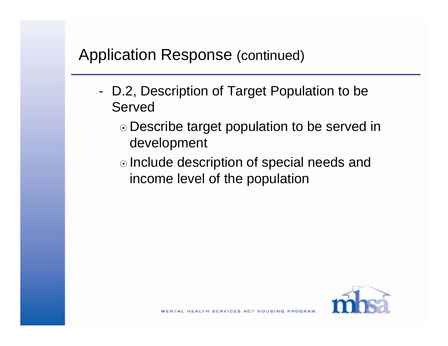- D.2, Description of Target Population to be Served
	- Describe target population to be served in development
	- ⊙ Include description of special needs and income level of the population

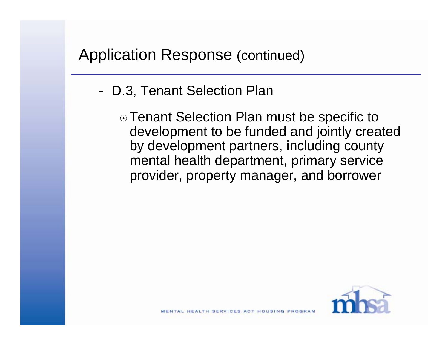- D.3, Tenant Selection Plan
	- ⊙ Tenant Selection Plan must be specific to development to be funded and jointly created by development partners, including county mental health department, primary service provider, property manager, and borrower

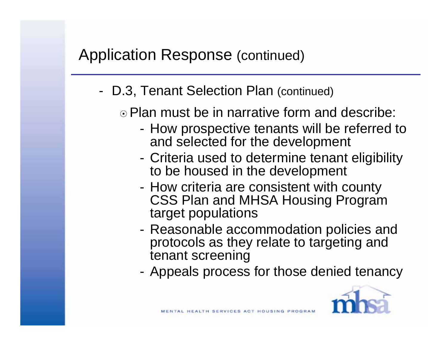- D.3, Tenant Selection Plan (continued)
	- $\odot$  Plan must be in narrative form and describe:
		- How prospective tenants will be referred to and selected for the development
		- Criteria used to determine tenant eligibility to be housed in the development
		- How criteria are consistent with county CSS Plan and MHSA Housing Program target populations
		- Reasonable accommodation policies and protocols as they relate to targeting and tenant screening
		- Appeals process for those denied tenancy

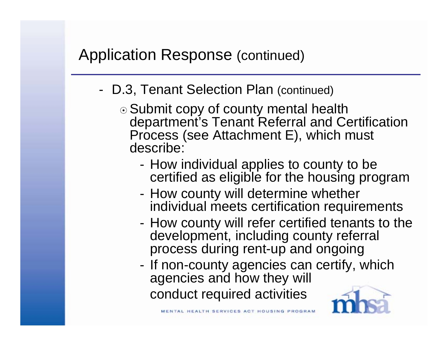- D.3, Tenant Selection Plan (continued)
	- ⊙ Submit copy of county mental health department's Tenant Referral and Certification Process (see Attachment E), which must describe:
		- How individual applies to county to be certified as eligible for the housing program
		- How county will determine whether individual meets certification requirements
		- How county will refer certified tenants to the development, including county referral process during rent-up and ongoing
		- If non-county agencies can certify, which agencies and how they will conduct required activities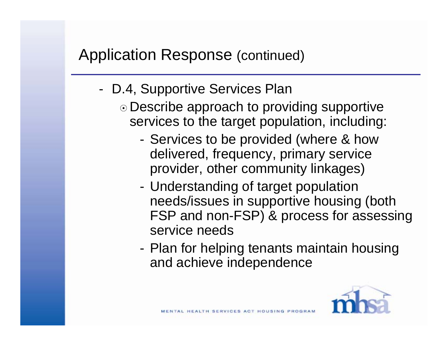- D.4, Supportive Services Plan
	- Describe approach to providing supportive services to the target population, including:
		- Services to be provided (where & how delivered, frequency, primary service provider, other community linkages)
		- Understanding of target population needs/issues in supportive housing (both FSP and non-FSP) & process for assessing service needs
		- Plan for helping tenants maintain housing and achieve independence

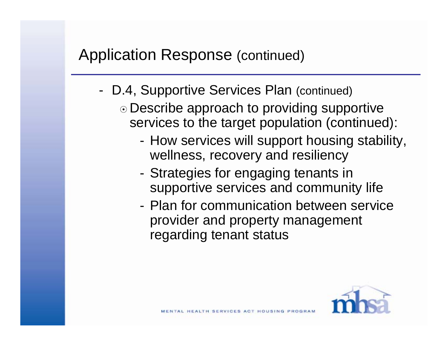- D.4, Supportive Services Plan (continued)
	- Describe approach to providing supportive services to the target population (continued):
		- How services will support housing stability, wellness, recovery and resiliency
		- Strategies for engaging tenants in supportive services and community life
		- Plan for communication between service provider and property management regarding tenant status

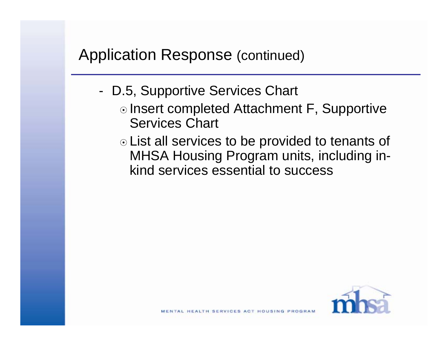- D.5, Supportive Services Chart
	- ⊙ Insert completed Attachment F, Supportive Services Chart
	- List all services to be provided to tenants of MHSA Housing Program units, including in kind services essential to success

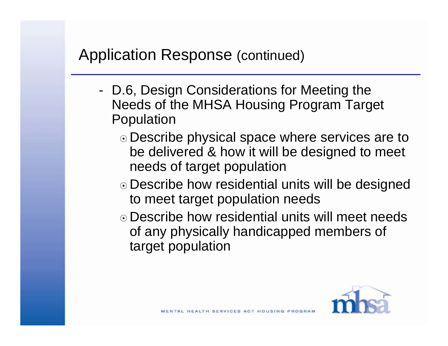- D.6, Design Considerations for Meeting the Needs of the MHSA Housing Program Target Population
	- Describe physical space where services are to be delivered & how it will be designed to meet needs of target population
	- Describe how residential units will be designed to meet target population needs
	- Describe how residential units will meet needs of any physically handicapped members of target population

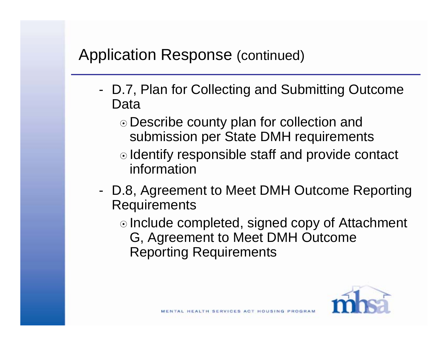- D.7, Plan for Collecting and Submitting Outcome Data
	- Describe county plan for collection and submission per State DMH requirements
	- ⊙ Identify responsible staff and provide contact information
- D.8, Agreement to Meet DMH Outcome Reporting **Requirements** 
	- ⊙ Include completed, signed copy of Attachment G, Agreement to Meet DMH Outcome Reporting Requirements

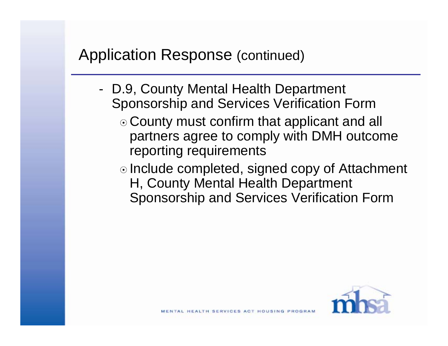- D.9, County Mental Health Department Sponsorship and Services Verification Form
	- County must confirm that applicant and all partners agree to comply with DMH outcome reporting requirements
	- ⊙ Include completed, signed copy of Attachment H, County Mental Health Department Sponsorship and Services Verification Form

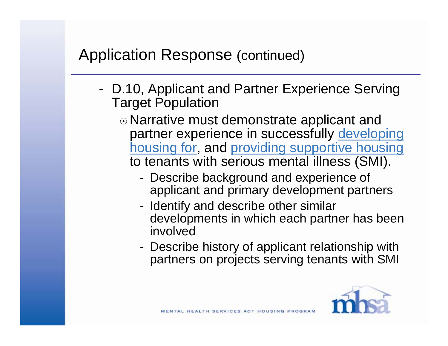- D.10, Applicant and Partner Experience Serving Target Population
	- Narrative must demonstrate applicant and partner experience in successfully developing housing for, and providing supportive housing to tenants with serious mental illness (SMI).
		- Describe background and experience of applicant and primary development partners
		- Identify and describe other similar developments in which each partner has been involved
		- Describe history of applicant relationship with partners on projects serving tenants with SMI

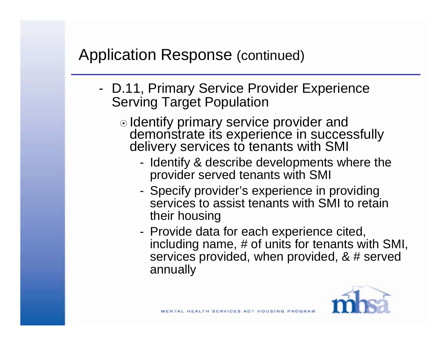- D.11, Primary Service Provider Experience Serving Target Population
	- Identify primary service provider and demonstrate its experience in successfully delivery services to tenants with SMI
		- Identify & describe developments where the provider served tenants with SMI
		- Specify provider's experience in providing services to assist tenants with SMI to retain their housing
		- Provide data for each experience cited, including name, # of units for tenants with SMI, services provided, when provided, & # served annually

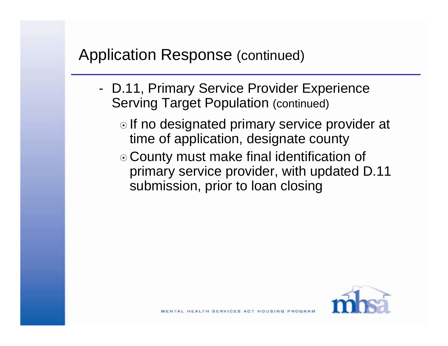- D.11, Primary Service Provider Experience Serving Target Population (continued)
	- $\odot$  If no designated primary service provider at time of application, designate county
	- County must make final identification of primary service provider, with updated D.11 submission, prior to loan closing

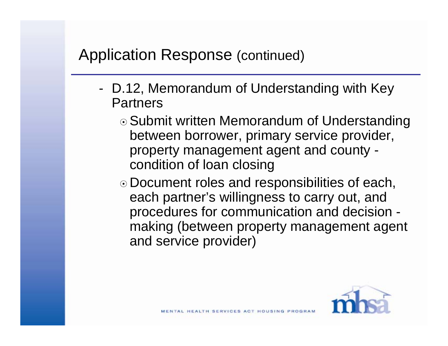- D.12, Memorandum of Understanding with Key **Partners** 
	- ⊙ Submit written Memorandum of Understanding between borrower, primary service provider, property management agent and county condition of loan closing
	- Document roles and responsibilities of each, each partner's willingness to carry out, and procedures for communication and decision making (between property management agent and service provider)

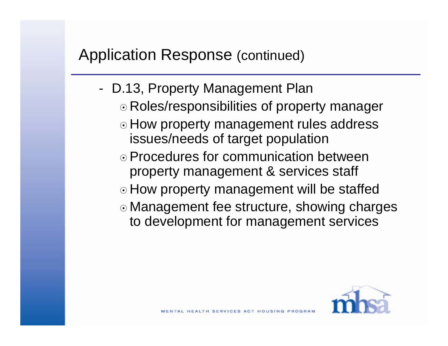- D.13, Property Management Plan
	- Roles/responsibilities of property manager
	- ⊙ How property management rules address issues/needs of target population
	- Procedures for communication between property management & services staff
	- How property management will be staffed
	- Management fee structure, showing charges to development for management services

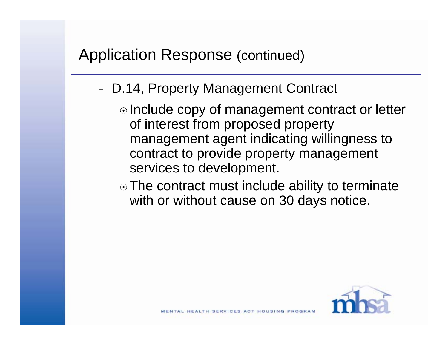- D.14, Property Management Contract
	- ⊙ Include copy of management contract or letter of interest from proposed property management agent indicating willingness to contract to provide property management services to development.
	- $\odot$  The contract must include ability to terminate with or without cause on 30 days notice.

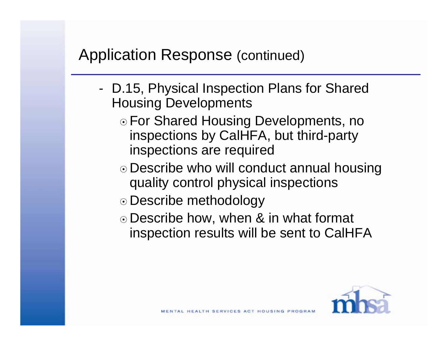- D.15, Physical Inspection Plans for Shared Housing Developments
	- ⊙ For Shared Housing Developments, no inspections by CalHFA, but third-party inspections are required
	- Describe who will conduct annual housing quality control physical inspections
	- ⊙ Describe methodology
	- Describe how, when & in what format inspection results will be sent to CalHFA

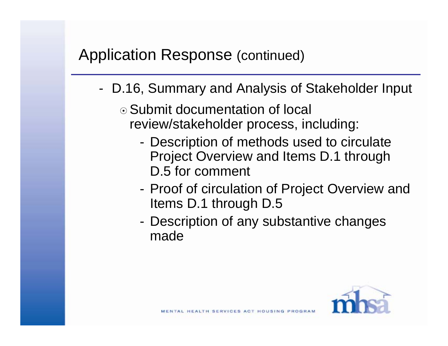- D.16, Summary and Analysis of Stakeholder Input
	- Submit documentation of local review/stakeholder process, including:
		- Description of methods used to circulate Project Overview and Items D.1 through D.5 for comment
		- Proof of circulation of Project Overview and Items D.1 through D.5
		- Description of any substantive changes made

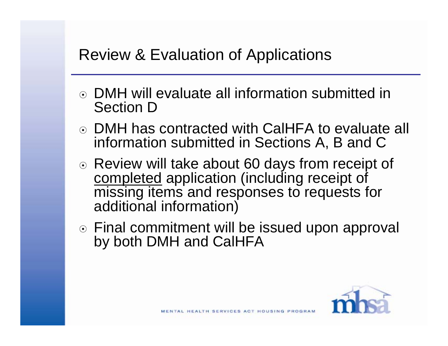### Review & Evaluation of Applications

- DMH will evaluate all information submitted in Section D
- DMH has contracted with CalHFA to evaluate all information submitted in Sections A, B and C
- Review will take about 60 days from receipt of completed application (including receipt of missing items and responses to requests for additional information)
- Final commitment will be issued upon approval by both DMH and CalHFA

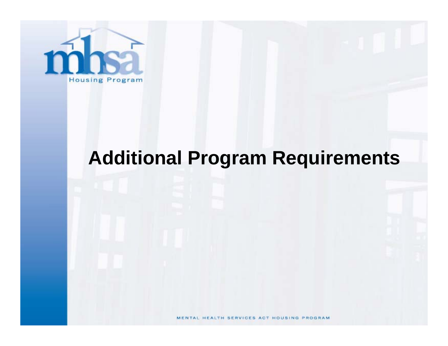

# **Additional Program Requirements**

MENTAL HEALTH SERVICES ACT HOUSING PROGRAM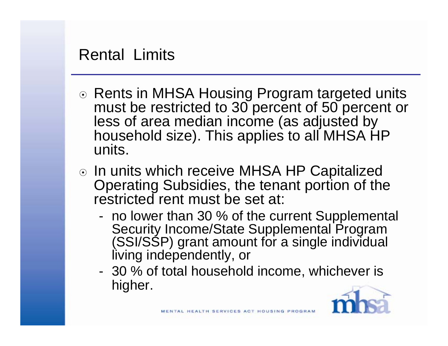#### Rental Limits

- ⊙ Rents in MHSA Housing Program targeted units must be restricted to 30 percent of 50 percent or less of area median income (as adjusted by household size). This applies to all MHSA HP units.
- ⊙ In units which receive MHSA HP Capitalized Operating Subsidies, the tenant portion of the restricted rent must be set at:
	- no lower than 30 % of the current Supplemental Security Income/State Supplemental Program (SSI/SSP) grant amount for a single individual living independently, or
	- 30 % of total household income, whichever is higher.

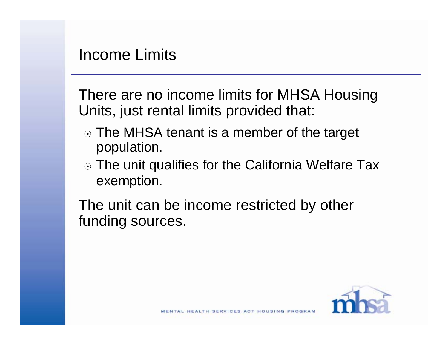There are no income limits for MHSA Housing Units, just rental limits provided that:

- ⊙ The MHSA tenant is a member of the target population.
- ⊙ The unit qualifies for the California Welfare Tax exemption.

The unit can be income restricted by other funding sources.

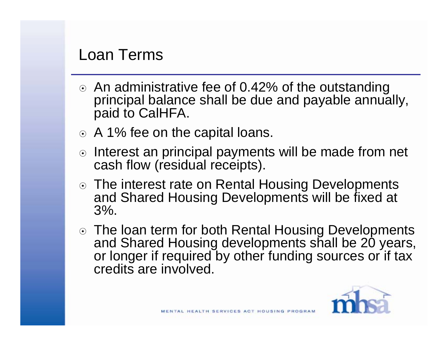#### Loan Terms

- $\odot$  An administrative fee of 0.42% of the outstanding principal balance shall be due and payable annually, paid to CalHFA.
- A 1% fee on the capital loans.
- o Interest an principal payments will be made from net cash flow (residual receipts).
- ⊙ The interest rate on Rental Housing Developments and Shared Housing Developments will be fixed at 3%.
- The loan term for both Rental Housing Developments and Shared Housing developments shall be 20 years, or longer if required by other funding sources or if tax credits are involved.

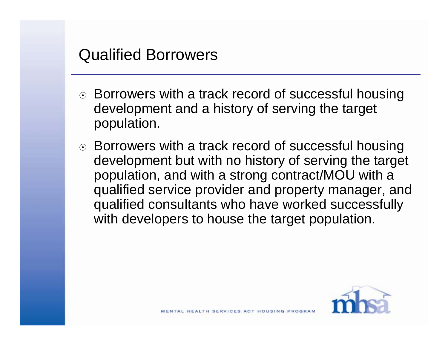### Qualified Borrowers

- ⊙ Borrowers with a track record of successful housing development and a history of serving the target population.
- ⊙ Borrowers with a track record of successful housing development but with no history of serving the target population, and with a strong contract/MOU with a qualified service provider and property manager, and qualified consultants who have worked successfully with developers to house the target population.

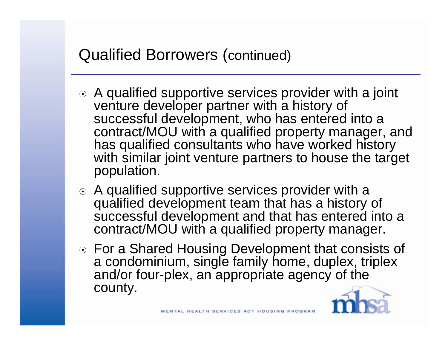# Qualified Borrowers (continued)

- A qualified supportive services provider with a joint venture developer partner with a history of successful development, who has entered into a contract/MOU with a qualified property manager, and has qualified consultants who have worked history with similar joint venture partners to house the target population.
- A qualified supportive services provider with a qualified development team that has a history of successful development and that has entered into a contract/MOU with a qualified property manager.
- For a Shared Housing Development that consists of a condominium, single family home, duplex, triplex and/or four-plex, an appropriate agency of the county.